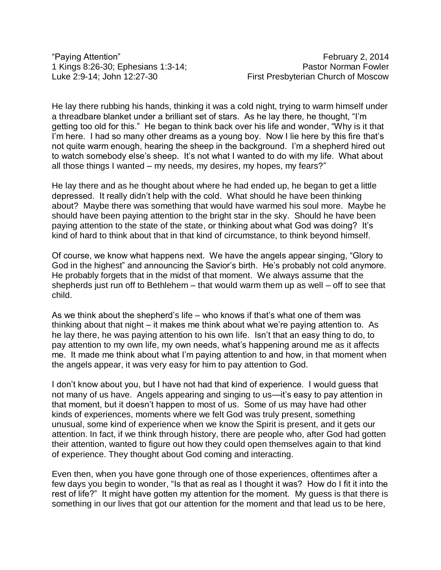He lay there rubbing his hands, thinking it was a cold night, trying to warm himself under a threadbare blanket under a brilliant set of stars. As he lay there, he thought, "I'm getting too old for this." He began to think back over his life and wonder, "Why is it that I'm here. I had so many other dreams as a young boy. Now I lie here by this fire that's not quite warm enough, hearing the sheep in the background. I'm a shepherd hired out to watch somebody else's sheep. It's not what I wanted to do with my life. What about all those things I wanted – my needs, my desires, my hopes, my fears?"

He lay there and as he thought about where he had ended up, he began to get a little depressed. It really didn't help with the cold. What should he have been thinking about? Maybe there was something that would have warmed his soul more. Maybe he should have been paying attention to the bright star in the sky. Should he have been paying attention to the state of the state, or thinking about what God was doing? It's kind of hard to think about that in that kind of circumstance, to think beyond himself.

Of course, we know what happens next. We have the angels appear singing, "Glory to God in the highest" and announcing the Savior's birth. He's probably not cold anymore. He probably forgets that in the midst of that moment. We always assume that the shepherds just run off to Bethlehem – that would warm them up as well – off to see that child.

As we think about the shepherd's life – who knows if that's what one of them was thinking about that night – it makes me think about what we're paying attention to. As he lay there, he was paying attention to his own life. Isn't that an easy thing to do, to pay attention to my own life, my own needs, what's happening around me as it affects me. It made me think about what I'm paying attention to and how, in that moment when the angels appear, it was very easy for him to pay attention to God.

I don't know about you, but I have not had that kind of experience. I would guess that not many of us have. Angels appearing and singing to us—it's easy to pay attention in that moment, but it doesn't happen to most of us. Some of us may have had other kinds of experiences, moments where we felt God was truly present, something unusual, some kind of experience when we know the Spirit is present, and it gets our attention. In fact, if we think through history, there are people who, after God had gotten their attention, wanted to figure out how they could open themselves again to that kind of experience. They thought about God coming and interacting.

Even then, when you have gone through one of those experiences, oftentimes after a few days you begin to wonder, "Is that as real as I thought it was? How do I fit it into the rest of life?" It might have gotten my attention for the moment. My guess is that there is something in our lives that got our attention for the moment and that lead us to be here,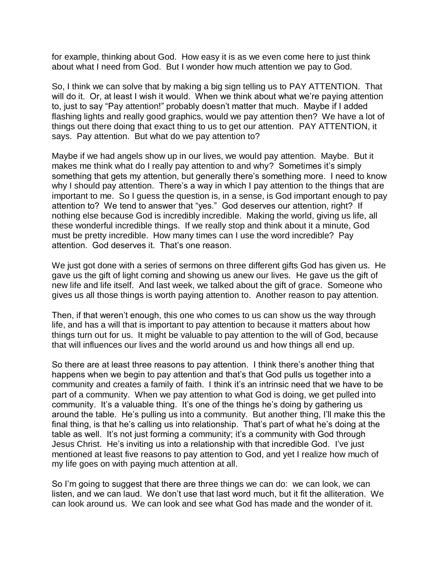for example, thinking about God. How easy it is as we even come here to just think about what I need from God. But I wonder how much attention we pay to God.

So, I think we can solve that by making a big sign telling us to PAY ATTENTION. That will do it. Or, at least I wish it would. When we think about what we're paying attention to, just to say "Pay attention!" probably doesn't matter that much. Maybe if I added flashing lights and really good graphics, would we pay attention then? We have a lot of things out there doing that exact thing to us to get our attention. PAY ATTENTION, it says. Pay attention. But what do we pay attention to?

Maybe if we had angels show up in our lives, we would pay attention. Maybe. But it makes me think what do I really pay attention to and why? Sometimes it's simply something that gets my attention, but generally there's something more. I need to know why I should pay attention. There's a way in which I pay attention to the things that are important to me. So I guess the question is, in a sense, is God important enough to pay attention to? We tend to answer that "yes." God deserves our attention, right? If nothing else because God is incredibly incredible. Making the world, giving us life, all these wonderful incredible things. If we really stop and think about it a minute, God must be pretty incredible. How many times can I use the word incredible? Pay attention. God deserves it. That's one reason.

We just got done with a series of sermons on three different gifts God has given us. He gave us the gift of light coming and showing us anew our lives. He gave us the gift of new life and life itself. And last week, we talked about the gift of grace. Someone who gives us all those things is worth paying attention to. Another reason to pay attention.

Then, if that weren't enough, this one who comes to us can show us the way through life, and has a will that is important to pay attention to because it matters about how things turn out for us. It might be valuable to pay attention to the will of God, because that will influences our lives and the world around us and how things all end up.

So there are at least three reasons to pay attention. I think there's another thing that happens when we begin to pay attention and that's that God pulls us together into a community and creates a family of faith. I think it's an intrinsic need that we have to be part of a community. When we pay attention to what God is doing, we get pulled into community. It's a valuable thing. It's one of the things he's doing by gathering us around the table. He's pulling us into a community. But another thing, I'll make this the final thing, is that he's calling us into relationship. That's part of what he's doing at the table as well. It's not just forming a community; it's a community with God through Jesus Christ. He's inviting us into a relationship with that incredible God. I've just mentioned at least five reasons to pay attention to God, and yet I realize how much of my life goes on with paying much attention at all.

So I'm going to suggest that there are three things we can do: we can look, we can listen, and we can laud. We don't use that last word much, but it fit the alliteration. We can look around us. We can look and see what God has made and the wonder of it.